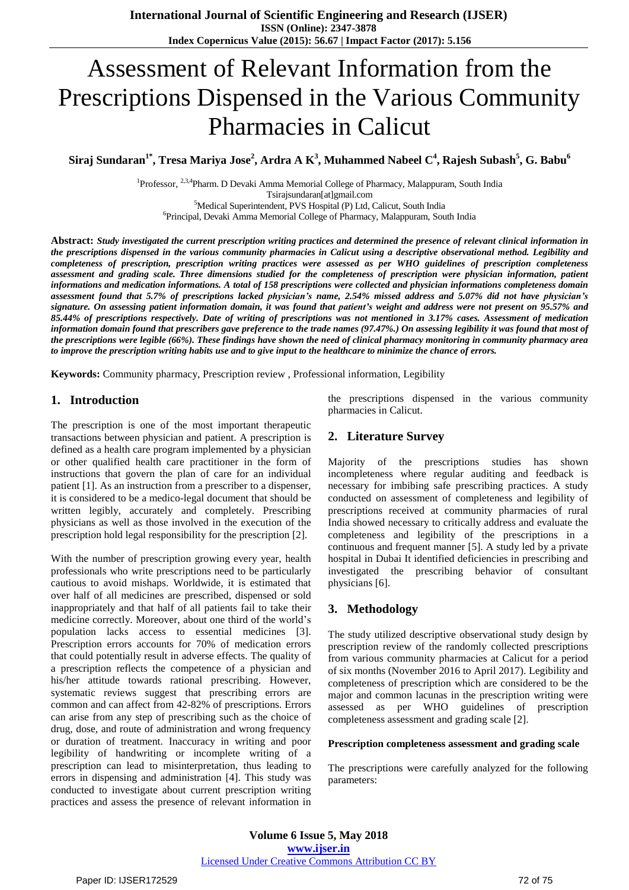# Assessment of Relevant Information from the Prescriptions Dispensed in the Various Community Pharmacies in Calicut

Siraj Sundaran $^{1*}$ , Tresa Mariya Jose $^{2}$ , Ardra A K $^{3}$ , Muhammed Nabeel C $^{4}$ , Rajesh Subash $^{5}$ , G. Babu $^{6}$ 

<sup>1</sup>Professor, <sup>2,3,4</sup>Pharm. D Devaki Amma Memorial College of Pharmacy, Malappuram, South India Tsirajsundaran[at]gmail.com

<sup>5</sup>Medical Superintendent, PVS Hospital (P) Ltd, Calicut, South India

6 Principal, Devaki Amma Memorial College of Pharmacy, Malappuram, South India

Abstract: Study investigated the current prescription writing practices and determined the presence of relevant clinical information in the prescriptions dispensed in the various community pharmacies in Calicut using a descriptive observational method. Legibility and completeness of prescription, prescription writing practices were assessed as per WHO guidelines of prescription completeness assessment and grading scale. Three dimensions studied for the completeness of prescription were physician information, patient informations and medication informations. A total of 158 prescriptions were collected and physician informations completeness domain assessment found that 5.7% of prescriptions lacked physician's name, 2.54% missed address and 5.07% did not have physician's signature. On assessing patient information domain, it was found that patient's weight and address were not present on 95.57% and 85.44% of prescriptions respectively. Date of writing of prescriptions was not mentioned in 3.17% cases. Assessment of medication information domain found that prescribers gave preference to the trade names (97.47%.) On assessing legibility it was found that most of the prescriptions were legible (66%). These findings have shown the need of clinical pharmacy monitoring in community pharmacy area to improve the prescription writing habits use and to give input to the healthcare to minimize the chance of errors.

**Keywords:** Community pharmacy, Prescription review , Professional information, Legibility

# **1. Introduction**

The prescription is one of the most important therapeutic transactions between physician and patient. A prescription is defined as a health care program implemented by a physician or other qualified health care practitioner in the form of instructions that govern the plan of care for an individual patient [1]. As an instruction from a prescriber to a dispenser, it is considered to be a medico-legal document that should be written legibly, accurately and completely. Prescribing physicians as well as those involved in the execution of the prescription hold legal responsibility for the prescription [2].

With the number of prescription growing every year, health professionals who write prescriptions need to be particularly cautious to avoid mishaps. Worldwide, it is estimated that over half of all medicines are prescribed, dispensed or sold inappropriately and that half of all patients fail to take their medicine correctly. Moreover, about one third of the world's population lacks access to essential medicines [3]. Prescription errors accounts for 70% of medication errors that could potentially result in adverse effects. The quality of a prescription reflects the competence of a physician and his/her attitude towards rational prescribing. However, systematic reviews suggest that prescribing errors are common and can affect from 42-82% of prescriptions. Errors can arise from any step of prescribing such as the choice of drug, dose, and route of administration and wrong frequency or duration of treatment. Inaccuracy in writing and poor legibility of handwriting or incomplete writing of a prescription can lead to misinterpretation, thus leading to errors in dispensing and administration [4]. This study was conducted to investigate about current prescription writing practices and assess the presence of relevant information in the prescriptions dispensed in the various community pharmacies in Calicut.

# **2. Literature Survey**

Majority of the prescriptions studies has shown incompleteness where regular auditing and feedback is necessary for imbibing safe prescribing practices. A study conducted on assessment of completeness and legibility of prescriptions received at community pharmacies of rural India showed necessary to critically address and evaluate the completeness and legibility of the prescriptions in a continuous and frequent manner [5]. A study led by a private hospital in Dubai It identified deficiencies in prescribing and investigated the prescribing behavior of consultant physicians [6].

#### **3. Methodology**

The study utilized descriptive observational study design by prescription review of the randomly collected prescriptions from various community pharmacies at Calicut for a period of six months (November 2016 to April 2017). Legibility and completeness of prescription which are considered to be the major and common lacunas in the prescription writing were assessed as per WHO guidelines of prescription completeness assessment and grading scale [2].

#### **Prescription completeness assessment and grading scale**

The prescriptions were carefully analyzed for the following parameters: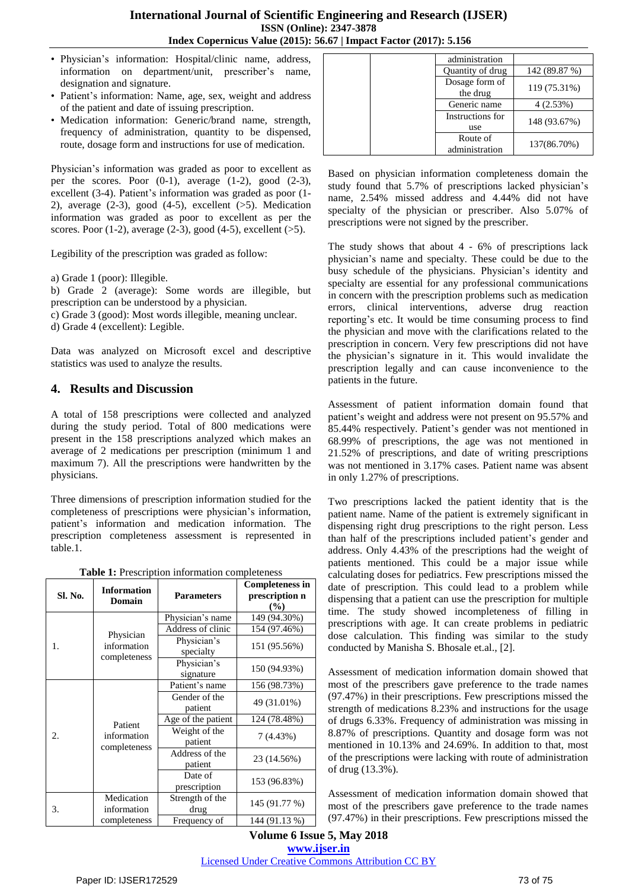- Physician's information: Hospital/clinic name, address, information on department/unit, prescriber's name, designation and signature.
- Patient's information: Name, age, sex, weight and address of the patient and date of issuing prescription.
- Medication information: Generic/brand name, strength, frequency of administration, quantity to be dispensed, route, dosage form and instructions for use of medication.

Physician's information was graded as poor to excellent as per the scores. Poor  $(0-1)$ , average  $(1-2)$ , good  $(2-3)$ , excellent (3-4). Patient's information was graded as poor (1- 2), average  $(2-3)$ , good  $(4-5)$ , excellent  $(>5)$ . Medication information was graded as poor to excellent as per the scores. Poor  $(1-2)$ , average  $(2-3)$ , good  $(4-5)$ , excellent  $(>5)$ .

Legibility of the prescription was graded as follow:

a) Grade 1 (poor): Illegible.

b) Grade 2 (average): Some words are illegible, but prescription can be understood by a physician.

- c) Grade 3 (good): Most words illegible, meaning unclear.
- d) Grade 4 (excellent): Legible.

Data was analyzed on Microsoft excel and descriptive statistics was used to analyze the results.

# **4. Results and Discussion**

A total of 158 prescriptions were collected and analyzed during the study period. Total of 800 medications were present in the 158 prescriptions analyzed which makes an average of 2 medications per prescription (minimum 1 and maximum 7). All the prescriptions were handwritten by the physicians.

Three dimensions of prescription information studied for the completeness of prescriptions were physician's information, patient's information and medication information. The prescription completeness assessment is represented in table.1.

**Table 1:** Prescription information completeness

| Sl. No. | <b>Information</b><br>Domain             | <b>Parameters</b>         | <b>Completeness in</b><br>prescription n<br>$($ %) |
|---------|------------------------------------------|---------------------------|----------------------------------------------------|
| 1.      | Physician<br>information<br>completeness | Physician's name          | 149 (94.30%)                                       |
|         |                                          | Address of clinic         | 154 (97.46%)                                       |
|         |                                          | Physician's<br>specialty  | 151 (95.56%)                                       |
|         |                                          | Physician's<br>signature  | 150 (94.93%)                                       |
| 2.      | Patient<br>information<br>completeness   | Patient's name            | 156 (98.73%)                                       |
|         |                                          | Gender of the<br>patient  | 49 (31.01%)                                        |
|         |                                          | Age of the patient        | 124 (78.48%)                                       |
|         |                                          | Weight of the<br>patient  | 7(4.43%)                                           |
|         |                                          | Address of the<br>patient | 23 (14.56%)                                        |
|         |                                          | Date of<br>prescription   | 153 (96.83%)                                       |
| 3.      | Medication<br>information                | Strength of the<br>drug   | 145 (91.77 %)                                      |
|         | completeness                             | Frequency of              | 144 (91.13 %)                                      |

| administration             |               |
|----------------------------|---------------|
| Quantity of drug           | 142 (89.87 %) |
| Dosage form of<br>the drug | 119 (75.31%)  |
| Generic name               | 4(2.53%)      |
| Instructions for<br>use    | 148 (93.67%)  |
| Route of<br>administration | 137(86.70%)   |

Based on physician information completeness domain the study found that 5.7% of prescriptions lacked physician's name, 2.54% missed address and 4.44% did not have specialty of the physician or prescriber. Also 5.07% of prescriptions were not signed by the prescriber.

The study shows that about 4 - 6% of prescriptions lack physician's name and specialty. These could be due to the busy schedule of the physicians. Physician's identity and specialty are essential for any professional communications in concern with the prescription problems such as medication errors, clinical interventions, adverse drug reaction reporting's etc. It would be time consuming process to find the physician and move with the clarifications related to the prescription in concern. Very few prescriptions did not have the physician's signature in it. This would invalidate the prescription legally and can cause inconvenience to the patients in the future.

Assessment of patient information domain found that patient's weight and address were not present on 95.57% and 85.44% respectively. Patient's gender was not mentioned in 68.99% of prescriptions, the age was not mentioned in 21.52% of prescriptions, and date of writing prescriptions was not mentioned in 3.17% cases. Patient name was absent in only 1.27% of prescriptions.

Two prescriptions lacked the patient identity that is the patient name. Name of the patient is extremely significant in dispensing right drug prescriptions to the right person. Less than half of the prescriptions included patient's gender and address. Only 4.43% of the prescriptions had the weight of patients mentioned. This could be a major issue while calculating doses for pediatrics. Few prescriptions missed the date of prescription. This could lead to a problem while dispensing that a patient can use the prescription for multiple time. The study showed incompleteness of filling in prescriptions with age. It can create problems in pediatric dose calculation. This finding was similar to the study conducted by Manisha S. Bhosale et.al., [2].

Assessment of medication information domain showed that most of the prescribers gave preference to the trade names (97.47%) in their prescriptions. Few prescriptions missed the strength of medications 8.23% and instructions for the usage of drugs 6.33%. Frequency of administration was missing in 8.87% of prescriptions. Quantity and dosage form was not mentioned in 10.13% and 24.69%. In addition to that, most of the prescriptions were lacking with route of administration of drug (13.3%).

Assessment of medication information domain showed that most of the prescribers gave preference to the trade names (97.47%) in their prescriptions. Few prescriptions missed the

**Volume 6 Issue 5, May 2018 [www.ijser.in](file:///G:\www.ijser.in\Documents\www.ijser.in)** [Licensed Under Creative Commons Attribution CC BY](http://creativecommons.org/licenses/by/4.0/)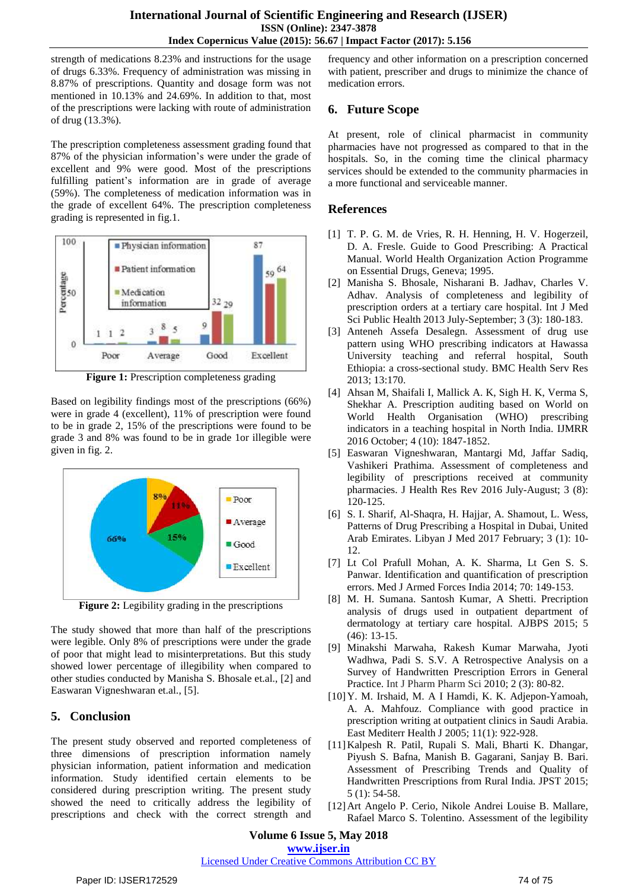strength of medications 8.23% and instructions for the usage of drugs 6.33%. Frequency of administration was missing in 8.87% of prescriptions. Quantity and dosage form was not mentioned in 10.13% and 24.69%. In addition to that, most of the prescriptions were lacking with route of administration of drug (13.3%).

The prescription completeness assessment grading found that 87% of the physician information's were under the grade of excellent and 9% were good. Most of the prescriptions fulfilling patient's information are in grade of average (59%). The completeness of medication information was in the grade of excellent 64%. The prescription completeness grading is represented in fig.1.



**Figure 1:** Prescription completeness grading

Based on legibility findings most of the prescriptions (66%) were in grade 4 (excellent), 11% of prescription were found to be in grade 2, 15% of the prescriptions were found to be grade 3 and 8% was found to be in grade 1or illegible were given in fig. 2.



**Figure 2:** Legibility grading in the prescriptions

The study showed that more than half of the prescriptions were legible. Only 8% of prescriptions were under the grade of poor that might lead to misinterpretations. But this study showed lower percentage of illegibility when compared to other studies conducted by Manisha S. Bhosale et.al., [2] and Easwaran Vigneshwaran et.al., [5].

# **5. Conclusion**

The present study observed and reported completeness of three dimensions of prescription information namely physician information, patient information and medication information. Study identified certain elements to be considered during prescription writing. The present study showed the need to critically address the legibility of prescriptions and check with the correct strength and

frequency and other information on a prescription concerned with patient, prescriber and drugs to minimize the chance of medication errors.

# **6. Future Scope**

At present, role of clinical pharmacist in community pharmacies have not progressed as compared to that in the hospitals. So, in the coming time the clinical pharmacy services should be extended to the community pharmacies in a more functional and serviceable manner.

# **References**

- [1] T. P. G. M. de Vries, R. H. Henning, H. V. Hogerzeil, D. A. Fresle. Guide to Good Prescribing: A Practical Manual. World Health Organization Action Programme on Essential Drugs, Geneva; 1995.
- [2] Manisha S. Bhosale, Nisharani B. Jadhav, Charles V. Adhav. Analysis of completeness and legibility of prescription orders at a tertiary care hospital. Int J Med Sci Public Health 2013 July-September; 3 (3): 180-183.
- [3] Anteneh Assefa Desalegn. Assessment of drug use pattern using WHO prescribing indicators at Hawassa University teaching and referral hospital, South Ethiopia: a cross-sectional study. BMC Health Serv Res 2013; 13:170.
- [4] Ahsan M, Shaifali I, Mallick A. K, Sigh H. K, Verma S, Shekhar A. Prescription auditing based on World on World Health Organisation (WHO) prescribing indicators in a teaching hospital in North India. IJMRR 2016 October; 4 (10): 1847-1852.
- [5] Easwaran Vigneshwaran, Mantargi Md, Jaffar Sadiq, Vashikeri Prathima. Assessment of completeness and legibility of prescriptions received at community pharmacies. J Health Res Rev 2016 July-August; 3 (8): 120-125.
- [6] S. I. Sharif, Al-Shaqra, H. Hajjar, A. Shamout, L. Wess, Patterns of Drug Prescribing a Hospital in Dubai, United Arab Emirates. Libyan J Med 2017 February; 3 (1): 10- 12.
- [7] Lt Col Prafull Mohan, A. K. Sharma, Lt Gen S. S. Panwar. Identification and quantification of prescription errors. Med J Armed Forces India 2014; 70: 149-153.
- [8] M. H. Sumana. Santosh Kumar, A Shetti. Precription analysis of drugs used in outpatient department of dermatology at tertiary care hospital. AJBPS 2015; 5 (46): 13-15.
- [9] Minakshi Marwaha, Rakesh Kumar Marwaha, Jyoti Wadhwa, Padi S. S.V. A Retrospective Analysis on a Survey of Handwritten Prescription Errors in General Practice. Int J Pharm Pharm Sci 2010; 2 (3): 80-82.
- [10]Y. M. Irshaid, M. A I Hamdi, K. K. Adjepon-Yamoah, A. A. Mahfouz. Compliance with good practice in prescription writing at outpatient clinics in Saudi Arabia. East Mediterr Health J 2005; 11(1): 922-928.
- [11]Kalpesh R. Patil, Rupali S. Mali, Bharti K. Dhangar, Piyush S. Bafna, Manish B. Gagarani, Sanjay B. Bari. Assessment of Prescribing Trends and Quality of Handwritten Prescriptions from Rural India. JPST 2015; 5 (1): 54-58.
- [12]Art Angelo P. Cerio, Nikole Andrei Louise B. Mallare, Rafael Marco S. Tolentino. Assessment of the legibility

**Volume 6 Issue 5, May 2018 [www.ijser.in](file:///G:\www.ijser.in\Documents\www.ijser.in)**

#### [Licensed Under Creative Commons Attribution CC BY](http://creativecommons.org/licenses/by/4.0/)